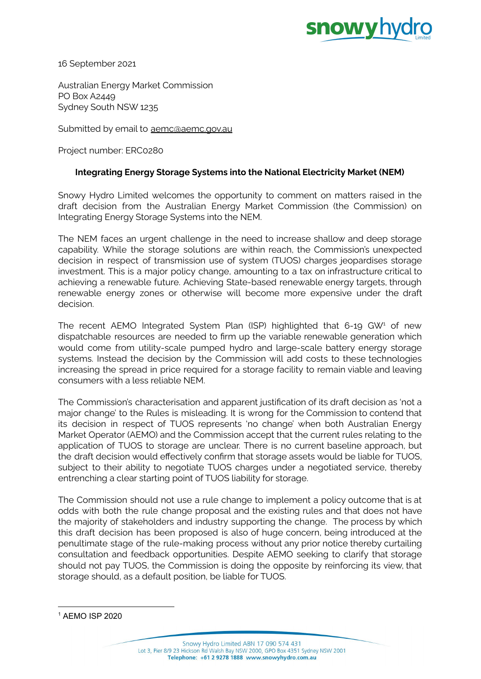

16 September 2021

Australian Energy Market Commission PO Box A2449 Sydney South NSW 1235

Submitted by email to [aemc@aemc.gov.au](mailto:aemc@aemc.gov.au)

Project number: ERC0280

### **Integrating Energy Storage Systems into the National Electricity Market (NEM)**

Snowy Hydro Limited welcomes the opportunity to comment on matters raised in the draft decision from the Australian Energy Market Commission (the Commission) on Integrating Energy Storage Systems into the NEM.

The NEM faces an urgent challenge in the need to increase shallow and deep storage capability. While the storage solutions are within reach, the Commission's unexpected decision in respect of transmission use of system (TUOS) charges jeopardises storage investment. This is a major policy change, amounting to a tax on infrastructure critical to achieving a renewable future. Achieving State-based renewable energy targets, through renewable energy zones or otherwise will become more expensive under the draft decision.

The recent AEMO Integrated System Plan (ISP) highlighted that  $6$ -19 GW<sup>1</sup> of new dispatchable resources are needed to firm up the variable renewable generation which would come from utility-scale pumped hydro and large-scale battery energy storage systems. Instead the decision by the Commission will add costs to these technologies increasing the spread in price required for a storage facility to remain viable and leaving consumers with a less reliable NEM.

The Commission's characterisation and apparent justification of its draft decision as 'not a major change' to the Rules is misleading. It is wrong for the Commission to contend that its decision in respect of TUOS represents 'no change' when both Australian Energy Market Operator (AEMO) and the Commission accept that the current rules relating to the application of TUOS to storage are unclear. There is no current baseline approach, but the draft decision would effectively confirm that storage assets would be liable for TUOS, subject to their ability to negotiate TUOS charges under a negotiated service, thereby entrenching a clear starting point of TUOS liability for storage.

The Commission should not use a rule change to implement a policy outcome that is at odds with both the rule change proposal and the existing rules and that does not have the majority of stakeholders and industry supporting the change. The process by which this draft decision has been proposed is also of huge concern, being introduced at the penultimate stage of the rule-making process without any prior notice thereby curtailing consultation and feedback opportunities. Despite AEMO seeking to clarify that storage should not pay TUOS, the Commission is doing the opposite by reinforcing its view, that storage should, as a default position, be liable for TUOS.

<sup>1</sup> AEMO ISP 2020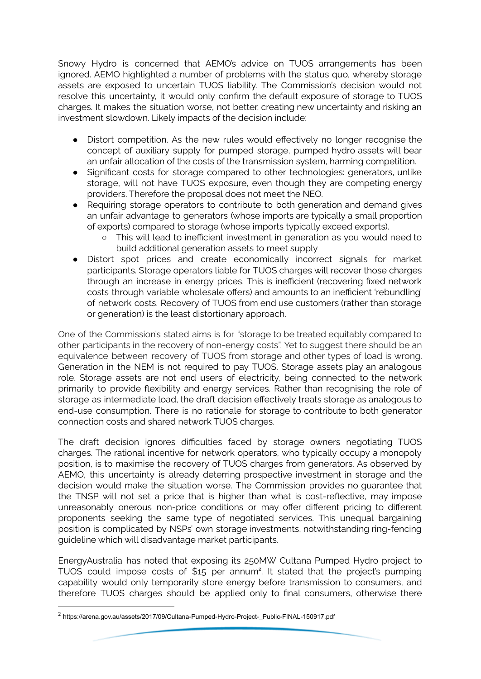Snowy Hydro is concerned that AEMO's advice on TUOS arrangements has been ignored. AEMO highlighted a number of problems with the status quo, whereby storage assets are exposed to uncertain TUOS liability. The Commission's decision would not resolve this uncertainty, it would only confirm the default exposure of storage to TUOS charges. It makes the situation worse, not better, creating new uncertainty and risking an investment slowdown. Likely impacts of the decision include:

- Distort competition. As the new rules would effectively no longer recognise the concept of auxiliary supply for pumped storage, pumped hydro assets will bear an unfair allocation of the costs of the transmission system, harming competition.
- Significant costs for storage compared to other technologies: generators, unlike storage, will not have TUOS exposure, even though they are competing energy providers. Therefore the proposal does not meet the NEO.
- Requiring storage operators to contribute to both generation and demand gives an unfair advantage to generators (whose imports are typically a small proportion of exports) compared to storage (whose imports typically exceed exports).
	- This will lead to inefficient investment in generation as you would need to build additional generation assets to meet supply
- Distort spot prices and create economically incorrect signals for market participants. Storage operators liable for TUOS charges will recover those charges through an increase in energy prices. This is inefficient (recovering fixed network costs through variable wholesale offers) and amounts to an inefficient 'rebundling' of network costs. Recovery of TUOS from end use customers (rather than storage or generation) is the least distortionary approach.

One of the Commission's stated aims is for "storage to be treated equitably compared to other participants in the recovery of non-energy costs". Yet to suggest there should be an equivalence between recovery of TUOS from storage and other types of load is wrong. Generation in the NEM is not required to pay TUOS. Storage assets play an analogous role. Storage assets are not end users of electricity, being connected to the network primarily to provide flexibility and energy services. Rather than recognising the role of storage as intermediate load, the draft decision effectively treats storage as analogous to end-use consumption. There is no rationale for storage to contribute to both generator connection costs and shared network TUOS charges.

The draft decision ignores difficulties faced by storage owners negotiating TUOS charges. The rational incentive for network operators, who typically occupy a monopoly position, is to maximise the recovery of TUOS charges from generators. As observed by AEMO, this uncertainty is already deterring prospective investment in storage and the decision would make the situation worse. The Commission provides no guarantee that the TNSP will not set a price that is higher than what is cost-reflective, may impose unreasonably onerous non-price conditions or may offer different pricing to different proponents seeking the same type of negotiated services. This unequal bargaining position is complicated by NSPs' own storage investments, notwithstanding ring-fencing guideline which will disadvantage market participants.

EnergyAustralia has noted that exposing its 250MW Cultana Pumped Hydro project to TUOS could impose costs of  $$15$  per annum<sup>2</sup>. It stated that the project's pumping capability would only temporarily store energy before transmission to consumers, and therefore TUOS charges should be applied only to final consumers, otherwise there

<sup>2</sup> https://arena.gov.au/assets/2017/09/Cultana-Pumped-Hydro-Project-\_Public-FINAL-150917.pdf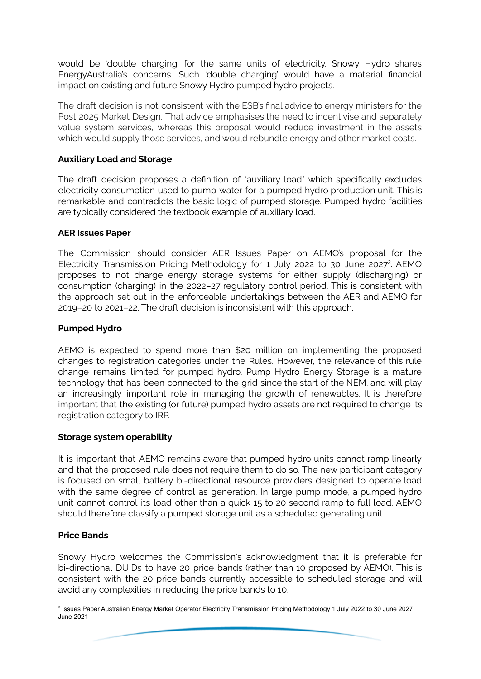would be 'double charging' for the same units of electricity. Snowy Hydro shares EnergyAustralia's concerns. Such 'double charging' would have a material financial impact on existing and future Snowy Hydro pumped hydro projects.

The draft decision is not consistent with the ESB's final advice to energy ministers for the Post 2025 Market Design. That advice emphasises the need to incentivise and separately value system services, whereas this proposal would reduce investment in the assets which would supply those services, and would rebundle energy and other market costs.

# **Auxiliary Load and Storage**

The draft decision proposes a definition of "auxiliary load" which specifically excludes electricity consumption used to pump water for a pumped hydro production unit. This is remarkable and contradicts the basic logic of pumped storage. Pumped hydro facilities are typically considered the textbook example of auxiliary load.

## **AER Issues Paper**

The Commission should consider AER Issues Paper on AEMO's proposal for the Electricity Transmission Pricing Methodology for 1 July 2022 to 30 June 2027<sup>3</sup>. AEMO proposes to not charge energy storage systems for either supply (discharging) or consumption (charging) in the 2022–27 regulatory control period. This is consistent with the approach set out in the enforceable undertakings between the AER and AEMO for 2019–20 to 2021–22. The draft decision is inconsistent with this approach.

## **Pumped Hydro**

AEMO is expected to spend more than \$20 million on implementing the proposed changes to registration categories under the Rules. However, the relevance of this rule change remains limited for pumped hydro. Pump Hydro Energy Storage is a mature technology that has been connected to the grid since the start of the NEM, and will play an increasingly important role in managing the growth of renewables. It is therefore important that the existing (or future) pumped hydro assets are not required to change its registration category to IRP.

#### **Storage system operability**

It is important that AEMO remains aware that pumped hydro units cannot ramp linearly and that the proposed rule does not require them to do so. The new participant category is focused on small battery bi-directional resource providers designed to operate load with the same degree of control as generation. In large pump mode, a pumped hydro unit cannot control its load other than a quick 15 to 20 second ramp to full load. AEMO should therefore classify a pumped storage unit as a scheduled generating unit.

### **Price Bands**

Snowy Hydro welcomes the Commission's acknowledgment that it is preferable for bi-directional DUIDs to have 20 price bands (rather than 10 proposed by AEMO). This is consistent with the 20 price bands currently accessible to scheduled storage and will avoid any complexities in reducing the price bands to 10.

<sup>3</sup> Issues Paper Australian Energy Market Operator Electricity Transmission Pricing Methodology 1 July 2022 to 30 June 2027 June 2021